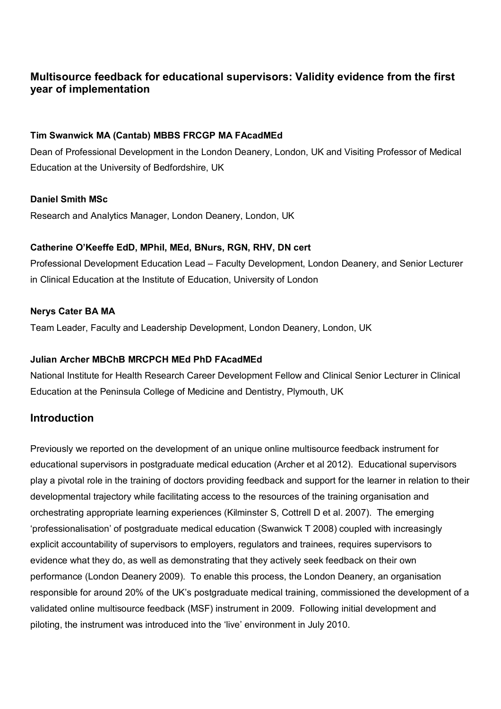# **Multisource feedback for educational supervisors: Validity evidence from the first year of implementation**

### **Tim Swanwick MA (Cantab) MBBS FRCGP MA FAcadMEd**

Dean of Professional Development in the London Deanery, London, UK and Visiting Professor of Medical Education at the University of Bedfordshire, UK

### **Daniel Smith MSc**

Research and Analytics Manager, London Deanery, London, UK

### **Catherine O'Keeffe EdD, MPhil, MEd, BNurs, RGN, RHV, DN cert**

Professional Development Education Lead – Faculty Development, London Deanery, and Senior Lecturer in Clinical Education at the Institute of Education, University of London

### **Nerys Cater BA MA**

Team Leader, Faculty and Leadership Development, London Deanery, London, UK

### **Julian Archer MBChB MRCPCH MEd PhD FAcadMEd**

National Institute for Health Research Career Development Fellow and Clinical Senior Lecturer in Clinical Education at the Peninsula College of Medicine and Dentistry, Plymouth, UK

### **Introduction**

Previously we reported on the development of an unique online multisource feedback instrument for educational supervisors in postgraduate medical education (Archer et al 2012). Educational supervisors play a pivotal role in the training of doctors providing feedback and support for the learner in relation to their developmental trajectory while facilitating access to the resources of the training organisation and orchestrating appropriate learning experiences (Kilminster S, Cottrell D et al. 2007). The emerging 'professionalisation' of postgraduate medical education (Swanwick T 2008) coupled with increasingly explicit accountability of supervisors to employers, regulators and trainees, requires supervisors to evidence what they do, as well as demonstrating that they actively seek feedback on their own performance (London Deanery 2009). To enable this process, the London Deanery, an organisation responsible for around 20% of the UK's postgraduate medical training, commissioned the development of a validated online multisource feedback (MSF) instrument in 2009. Following initial development and piloting, the instrument was introduced into the 'live' environment in July 2010.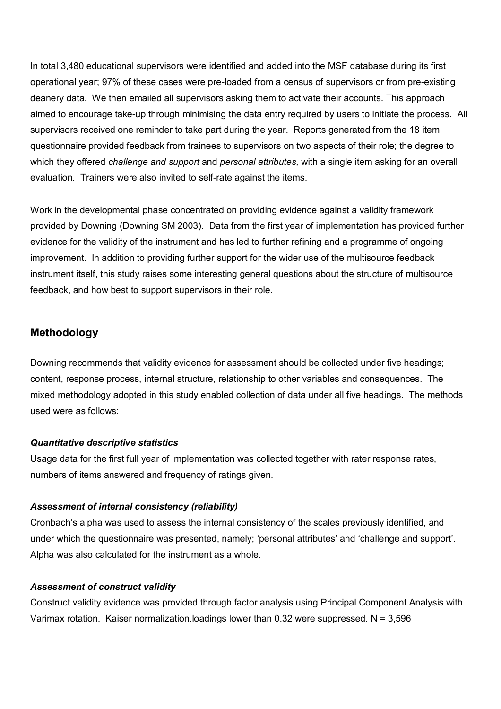In total 3,480 educational supervisors were identified and added into the MSF database during its first operational year; 97% of these cases were pre-loaded from a census of supervisors or from pre-existing deanery data. We then emailed all supervisors asking them to activate their accounts. This approach aimed to encourage take-up through minimising the data entry required by users to initiate the process. All supervisors received one reminder to take part during the year. Reports generated from the 18 item questionnaire provided feedback from trainees to supervisors on two aspects of their role; the degree to which they offered *challenge and support* and *personal attributes,* with a single item asking for an overall evaluation*.* Trainers were also invited to self-rate against the items.

Work in the developmental phase concentrated on providing evidence against a validity framework provided by Downing (Downing SM 2003). Data from the first year of implementation has provided further evidence for the validity of the instrument and has led to further refining and a programme of ongoing improvement. In addition to providing further support for the wider use of the multisource feedback instrument itself, this study raises some interesting general questions about the structure of multisource feedback, and how best to support supervisors in their role.

### **Methodology**

Downing recommends that validity evidence for assessment should be collected under five headings; content, response process, internal structure, relationship to other variables and consequences. The mixed methodology adopted in this study enabled collection of data under all five headings. The methods used were as follows:

### *Quantitative descriptive statistics*

Usage data for the first full year of implementation was collected together with rater response rates, numbers of items answered and frequency of ratings given.

### *Assessment of internal consistency (reliability)*

Cronbach's alpha was used to assess the internal consistency of the scales previously identified, and under which the questionnaire was presented, namely; 'personal attributes' and 'challenge and support'. Alpha was also calculated for the instrument as a whole.

### *Assessment of construct validity*

Construct validity evidence was provided through factor analysis using Principal Component Analysis with Varimax rotation. Kaiser normalization. loadings lower than  $0.32$  were suppressed. N = 3,596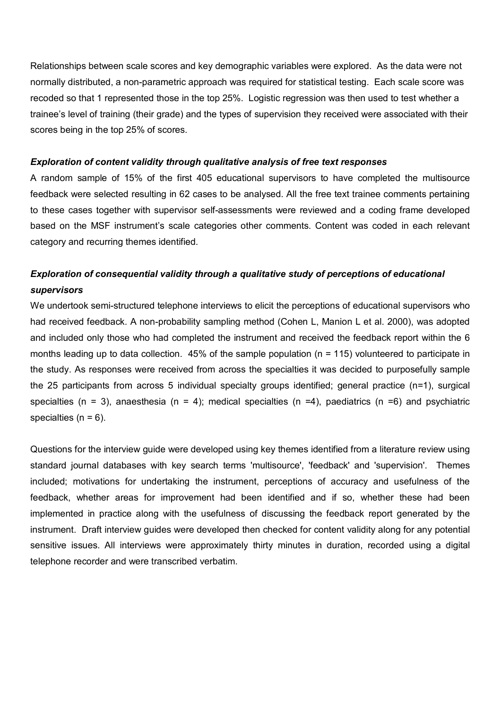Relationships between scale scores and key demographic variables were explored. As the data were not normally distributed, a non-parametric approach was required for statistical testing. Each scale score was recoded so that 1 represented those in the top 25%. Logistic regression was then used to test whether a trainee's level of training (their grade) and the types of supervision they received were associated with their scores being in the top 25% of scores.

#### *Exploration of content validity through qualitative analysis of free text responses*

A random sample of 15% of the first 405 educational supervisors to have completed the multisource feedback were selected resulting in 62 cases to be analysed. All the free text trainee comments pertaining to these cases together with supervisor self-assessments were reviewed and a coding frame developed based on the MSF instrument's scale categories other comments. Content was coded in each relevant category and recurring themes identified.

# *Exploration of consequential validity through a qualitative study of perceptions of educational supervisors*

We undertook semi-structured telephone interviews to elicit the perceptions of educational supervisors who had received feedback. A non-probability sampling method (Cohen L, Manion L et al. 2000), was adopted and included only those who had completed the instrument and received the feedback report within the 6 months leading up to data collection. 45% of the sample population (n = 115) volunteered to participate in the study. As responses were received from across the specialties it was decided to purposefully sample the 25 participants from across 5 individual specialty groups identified; general practice (n=1), surgical specialties (n = 3), anaesthesia (n = 4); medical specialties (n =4), paediatrics (n =6) and psychiatric specialties ( $n = 6$ ).

Questions for the interview guide were developed using key themes identified from a literature review using standard journal databases with key search terms 'multisource', 'feedback' and 'supervision'. Themes included; motivations for undertaking the instrument, perceptions of accuracy and usefulness of the feedback, whether areas for improvement had been identified and if so, whether these had been implemented in practice along with the usefulness of discussing the feedback report generated by the instrument. Draft interview guides were developed then checked for content validity along for any potential sensitive issues. All interviews were approximately thirty minutes in duration, recorded using a digital telephone recorder and were transcribed verbatim.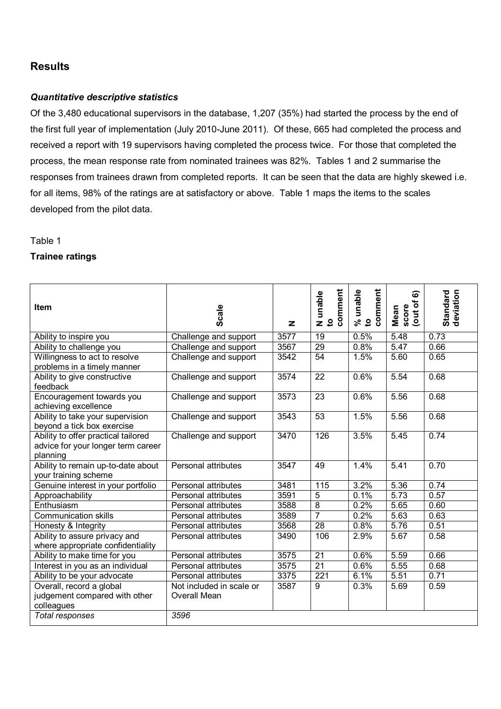# **Results**

### *Quantitative descriptive statistics*

Of the 3,480 educational supervisors in the database, 1,207 (35%) had started the process by the end of the first full year of implementation (July 2010-June 2011). Of these, 665 had completed the process and received a report with 19 supervisors having completed the process twice. For those that completed the process, the mean response rate from nominated trainees was 82%. Tables 1 and 2 summarise the responses from trainees drawn from completed reports. It can be seen that the data are highly skewed i.e. for all items, 98% of the ratings are at satisfactory or above. Table 1 maps the items to the scales developed from the pilot data.

#### Table 1

### **Trainee ratings**

| <b>Item</b>                                                                           | Scale                                    | z    | comment<br>N unable<br>to | comment<br>unable<br>ని 5 | බ<br>(out of<br>score<br>Mean | deviation<br><b>Standard</b> |
|---------------------------------------------------------------------------------------|------------------------------------------|------|---------------------------|---------------------------|-------------------------------|------------------------------|
| Ability to inspire you                                                                | Challenge and support                    | 3577 | 19                        | 0.5%                      | 5.48                          | 0.73                         |
| Ability to challenge you                                                              | Challenge and support                    | 3567 | $\overline{29}$           | 0.8%                      | 5.47                          | 0.66                         |
| Willingness to act to resolve<br>problems in a timely manner                          | Challenge and support                    | 3542 | 54                        | 1.5%                      | 5.60                          | 0.65                         |
| Ability to give constructive<br>feedback                                              | Challenge and support                    | 3574 | 22                        | 0.6%                      | 5.54                          | 0.68                         |
| Encouragement towards you<br>achieving excellence                                     | Challenge and support                    | 3573 | 23                        | 0.6%                      | 5.56                          | 0.68                         |
| Ability to take your supervision<br>beyond a tick box exercise                        | Challenge and support                    | 3543 | 53                        | 1.5%                      | 5.56                          | 0.68                         |
| Ability to offer practical tailored<br>advice for your longer term career<br>planning | Challenge and support                    | 3470 | 126                       | 3.5%                      | 5.45                          | 0.74                         |
| Ability to remain up-to-date about<br>your training scheme                            | Personal attributes                      | 3547 | 49                        | 1.4%                      | 5.41                          | 0.70                         |
| Genuine interest in your portfolio                                                    | Personal attributes                      | 3481 | 115                       | 3.2%                      | 5.36                          | 0.74                         |
| Approachability                                                                       | Personal attributes                      | 3591 | 5                         | 0.1%                      | 5.73                          | 0.57                         |
| Enthusiasm                                                                            | Personal attributes                      | 3588 | $\overline{8}$            | 0.2%                      | 5.65                          | 0.60                         |
| <b>Communication skills</b>                                                           | Personal attributes                      | 3589 | $\overline{7}$            | 0.2%                      | 5.63                          | 0.63                         |
| Honesty & Integrity                                                                   | Personal attributes                      | 3568 | $\overline{28}$           | 0.8%                      | 5.76                          | 0.51                         |
| Ability to assure privacy and<br>where appropriate confidentiality                    | Personal attributes                      | 3490 | 106                       | 2.9%                      | 5.67                          | 0.58                         |
| Ability to make time for you                                                          | Personal attributes                      | 3575 | 21                        | 0.6%                      | 5.59                          | 0.66                         |
| Interest in you as an individual                                                      | Personal attributes                      | 3575 | $\overline{21}$           | 0.6%                      | 5.55                          | 0.68                         |
| Ability to be your advocate                                                           | Personal attributes                      | 3375 | 221                       | 6.1%                      | 5.51                          | 0.71                         |
| Overall, record a global<br>judgement compared with other<br>colleagues               | Not included in scale or<br>Overall Mean | 3587 | 9                         | 0.3%                      | 5.69                          | 0.59                         |
| Total responses                                                                       | 3596                                     |      |                           |                           |                               |                              |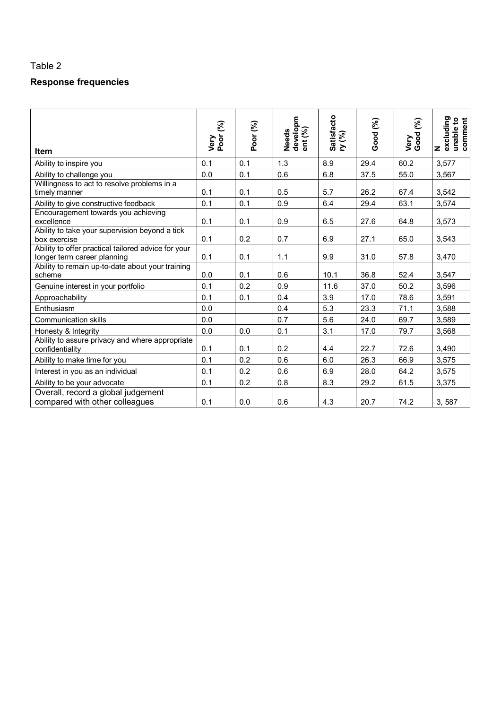# **Response frequencies**

| Item                                                                               | Very<br>Poor (%) | Poor (%) | developm<br>ent (%)<br><b>Needs</b> | Satisfacto<br>ry (%) | Good (%) | Very<br>Good (%) | excluding<br>unable to<br>comment<br>$\mathbf{z}$ |
|------------------------------------------------------------------------------------|------------------|----------|-------------------------------------|----------------------|----------|------------------|---------------------------------------------------|
| Ability to inspire you                                                             | 0.1              | 0.1      | 1.3                                 | 8.9                  | 29.4     | 60.2             | 3,577                                             |
| Ability to challenge you                                                           | 0.0              | 0.1      | 0.6                                 | 6.8                  | 37.5     | 55.0             | 3,567                                             |
| Willingness to act to resolve problems in a<br>timely manner                       | 0.1              | 0.1      | 0.5                                 | 5.7                  | 26.2     | 67.4             | 3,542                                             |
| Ability to give constructive feedback                                              | 0.1              | 0.1      | 0.9                                 | 6.4                  | 29.4     | 63.1             | 3,574                                             |
| Encouragement towards you achieving<br>excellence                                  | 0.1              | 0.1      | 0.9                                 | 6.5                  | 27.6     | 64.8             | 3,573                                             |
| Ability to take your supervision beyond a tick<br>box exercise                     | 0.1              | 0.2      | 0.7                                 | 6.9                  | 27.1     | 65.0             | 3,543                                             |
| Ability to offer practical tailored advice for your<br>longer term career planning | 0.1              | 0.1      | 1.1                                 | 9.9                  | 31.0     | 57.8             | 3,470                                             |
| Ability to remain up-to-date about your training<br>scheme                         | 0.0              | 0.1      | 0.6                                 | 10.1                 | 36.8     | 52.4             | 3,547                                             |
| Genuine interest in your portfolio                                                 | 0.1              | 0.2      | 0.9                                 | 11.6                 | 37.0     | 50.2             | 3,596                                             |
| Approachability                                                                    | 0.1              | 0.1      | 0.4                                 | 3.9                  | 17.0     | 78.6             | 3,591                                             |
| Enthusiasm                                                                         | 0.0              |          | 0.4                                 | 5.3                  | 23.3     | 71.1             | 3,588                                             |
| <b>Communication skills</b>                                                        | 0.0              |          | 0.7                                 | 5.6                  | 24.0     | 69.7             | 3,589                                             |
| Honesty & Integrity                                                                | 0.0              | 0.0      | 0.1                                 | 3.1                  | 17.0     | 79.7             | 3,568                                             |
| Ability to assure privacy and where appropriate<br>confidentiality                 | 0.1              | 0.1      | 0.2                                 | 4.4                  | 22.7     | 72.6             | 3,490                                             |
| Ability to make time for you                                                       | 0.1              | 0.2      | 0.6                                 | 6.0                  | 26.3     | 66.9             | 3,575                                             |
| Interest in you as an individual                                                   | 0.1              | 0.2      | 0.6                                 | 6.9                  | 28.0     | 64.2             | 3,575                                             |
| Ability to be your advocate                                                        | 0.1              | 0.2      | 0.8                                 | 8.3                  | 29.2     | 61.5             | 3,375                                             |
| Overall, record a global judgement<br>compared with other colleagues               | 0.1              | 0.0      | 0.6                                 | 4.3                  | 20.7     | 74.2             | 3,587                                             |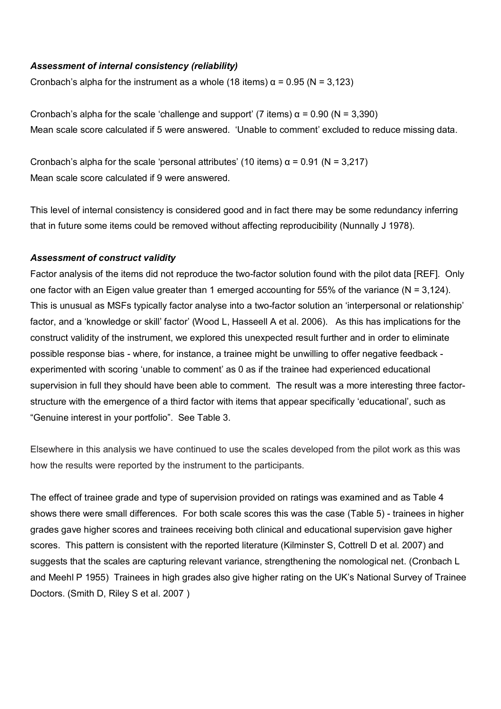#### *Assessment of internal consistency (reliability)*

Cronbach's alpha for the instrument as a whole (18 items)  $\alpha$  = 0.95 (N = 3,123)

Cronbach's alpha for the scale 'challenge and support' (7 items)  $\alpha$  = 0.90 (N = 3,390) Mean scale score calculated if 5 were answered. 'Unable to comment' excluded to reduce missing data.

Cronbach's alpha for the scale 'personal attributes' (10 items)  $\alpha$  = 0.91 (N = 3,217) Mean scale score calculated if 9 were answered.

This level of internal consistency is considered good and in fact there may be some redundancy inferring that in future some items could be removed without affecting reproducibility (Nunnally J 1978).

#### *Assessment of construct validity*

Factor analysis of the items did not reproduce the two-factor solution found with the pilot data [REF]. Only one factor with an Eigen value greater than 1 emerged accounting for 55% of the variance (N = 3,124). This is unusual as MSFs typically factor analyse into a two-factor solution an 'interpersonal or relationship' factor, and a 'knowledge or skill' factor' (Wood L, Hasseell A et al. 2006). As this has implications for the construct validity of the instrument, we explored this unexpected result further and in order to eliminate possible response bias - where, for instance, a trainee might be unwilling to offer negative feedback experimented with scoring 'unable to comment' as 0 as if the trainee had experienced educational supervision in full they should have been able to comment. The result was a more interesting three factorstructure with the emergence of a third factor with items that appear specifically 'educational', such as "Genuine interest in your portfolio". See Table 3.

Elsewhere in this analysis we have continued to use the scales developed from the pilot work as this was how the results were reported by the instrument to the participants.

The effect of trainee grade and type of supervision provided on ratings was examined and as Table 4 shows there were small differences. For both scale scores this was the case (Table 5) - trainees in higher grades gave higher scores and trainees receiving both clinical and educational supervision gave higher scores. This pattern is consistent with the reported literature (Kilminster S, Cottrell D et al. 2007) and suggests that the scales are capturing relevant variance, strengthening the nomological net. (Cronbach L and Meehl P 1955) Trainees in high grades also give higher rating on the UK's National Survey of Trainee Doctors. (Smith D, Riley S et al. 2007 )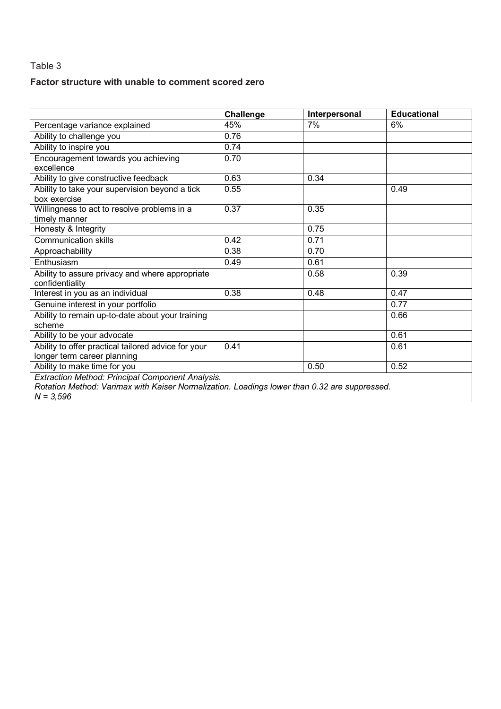### **Factor structure with unable to comment scored zero**

|                                                                                                                                                                 | Challenge | Interpersonal | <b>Educational</b> |
|-----------------------------------------------------------------------------------------------------------------------------------------------------------------|-----------|---------------|--------------------|
| Percentage variance explained                                                                                                                                   | 45%       | 7%            | 6%                 |
| Ability to challenge you                                                                                                                                        | 0.76      |               |                    |
| Ability to inspire you                                                                                                                                          | 0.74      |               |                    |
| Encouragement towards you achieving                                                                                                                             | 0.70      |               |                    |
| excellence                                                                                                                                                      |           |               |                    |
| Ability to give constructive feedback                                                                                                                           | 0.63      | 0.34          |                    |
| Ability to take your supervision beyond a tick                                                                                                                  | 0.55      |               | 0.49               |
| box exercise                                                                                                                                                    |           |               |                    |
| Willingness to act to resolve problems in a                                                                                                                     | 0.37      | 0.35          |                    |
| timely manner                                                                                                                                                   |           |               |                    |
| Honesty & Integrity                                                                                                                                             |           | 0.75          |                    |
| <b>Communication skills</b>                                                                                                                                     | 0.42      | 0.71          |                    |
| Approachability                                                                                                                                                 | 0.38      | 0.70          |                    |
| Enthusiasm                                                                                                                                                      | 0.49      | 0.61          |                    |
| Ability to assure privacy and where appropriate<br>confidentiality                                                                                              |           | 0.58          | 0.39               |
| Interest in you as an individual                                                                                                                                | 0.38      | 0.48          | 0.47               |
| Genuine interest in your portfolio                                                                                                                              |           |               | 0.77               |
| Ability to remain up-to-date about your training<br>scheme                                                                                                      |           |               | 0.66               |
| Ability to be your advocate                                                                                                                                     |           |               | 0.61               |
| Ability to offer practical tailored advice for your                                                                                                             | 0.41      |               | 0.61               |
| longer term career planning                                                                                                                                     |           |               |                    |
| Ability to make time for you                                                                                                                                    |           | 0.50          | 0.52               |
| Extraction Method: Principal Component Analysis.<br>Rotation Method: Varimax with Kaiser Normalization. Loadings lower than 0.32 are suppressed.<br>$N = 3,596$ |           |               |                    |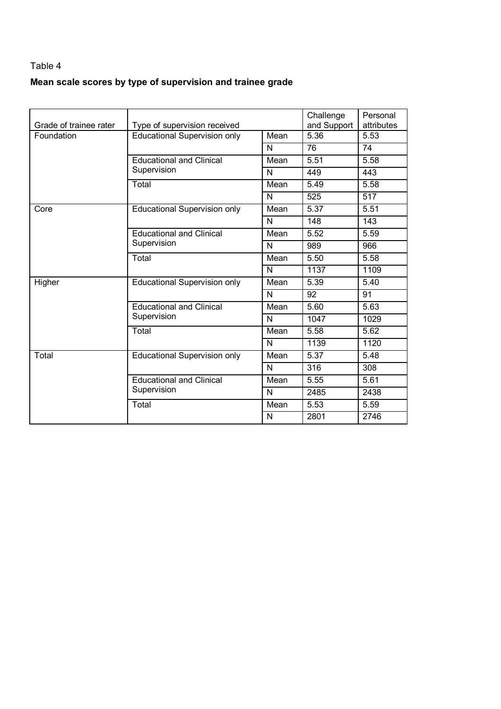# **Mean scale scores by type of supervision and trainee grade**

| Grade of trainee rater | Type of supervision received        |              | Challenge<br>and Support | Personal<br>attributes |
|------------------------|-------------------------------------|--------------|--------------------------|------------------------|
| Foundation             | <b>Educational Supervision only</b> | Mean         | 5.36                     | 5.53                   |
|                        |                                     | N            | 76                       | 74                     |
|                        | <b>Educational and Clinical</b>     | Mean         | 5.51                     | 5.58                   |
|                        | Supervision                         | N            | 449                      | 443                    |
|                        | Total                               | Mean         | 5.49                     | 5.58                   |
|                        |                                     | $\mathsf{N}$ | 525                      | 517                    |
| Core                   | <b>Educational Supervision only</b> | Mean         | 5.37                     | 5.51                   |
|                        |                                     | $\mathsf{N}$ | 148                      | 143                    |
|                        | <b>Educational and Clinical</b>     | Mean         | 5.52                     | 5.59                   |
|                        | Supervision                         | N            | 989                      | 966                    |
|                        | Total                               | Mean         | 5.50                     | 5.58                   |
|                        |                                     | N            | 1137                     | 1109                   |
| Higher                 | <b>Educational Supervision only</b> | Mean         | 5.39                     | 5.40                   |
|                        |                                     | N            | 92                       | 91                     |
|                        | <b>Educational and Clinical</b>     | Mean         | 5.60                     | 5.63                   |
|                        | Supervision                         | $\mathsf{N}$ | 1047                     | 1029                   |
|                        | Total                               | Mean         | 5.58                     | 5.62                   |
|                        |                                     | N            | 1139                     | 1120                   |
| Total                  | <b>Educational Supervision only</b> | Mean         | 5.37                     | 5.48                   |
|                        |                                     | N            | $\overline{316}$         | 308                    |
|                        | <b>Educational and Clinical</b>     | Mean         | 5.55                     | 5.61                   |
|                        | Supervision                         | N            | 2485                     | 2438                   |
|                        | Total                               | Mean         | 5.53                     | 5.59                   |
|                        |                                     | N            | 2801                     | 2746                   |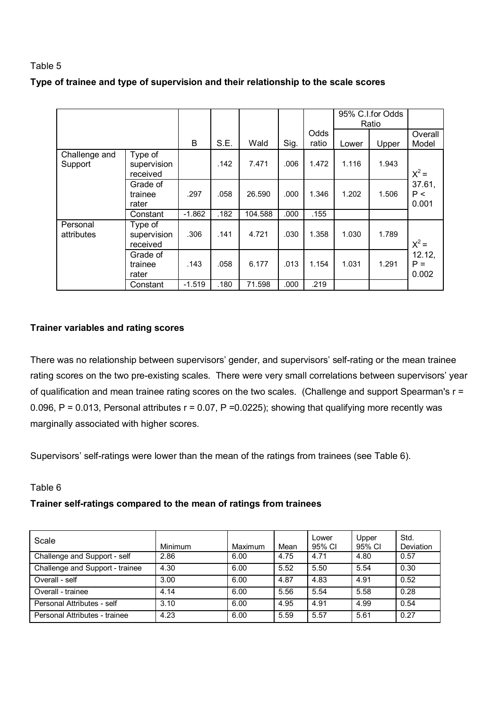|  |  | Type of trainee and type of supervision and their relationship to the scale scores |
|--|--|------------------------------------------------------------------------------------|
|--|--|------------------------------------------------------------------------------------|

|                          |                                    |          |      |         |      |               |       | 95% C.I.for Odds<br>Ratio |                          |
|--------------------------|------------------------------------|----------|------|---------|------|---------------|-------|---------------------------|--------------------------|
|                          |                                    | B        | S.E. | Wald    | Sig. | Odds<br>ratio | Lower | Upper                     | Overall<br>Model         |
| Challenge and<br>Support | Type of<br>supervision<br>received |          | .142 | 7.471   | .006 | 1.472         | 1.116 | 1.943                     | $X^2 =$                  |
|                          | Grade of<br>trainee<br>rater       | .297     | .058 | 26.590  | .000 | 1.346         | 1.202 | 1.506                     | 37.61,<br>P <<br>0.001   |
|                          | Constant                           | $-1.862$ | .182 | 104.588 | .000 | .155          |       |                           |                          |
| Personal<br>attributes   | Type of<br>supervision<br>received | .306     | .141 | 4.721   | .030 | 1.358         | 1.030 | 1.789                     | $X^2 =$                  |
|                          | Grade of<br>trainee<br>rater       | .143     | .058 | 6.177   | .013 | 1.154         | 1.031 | 1.291                     | 12.12,<br>$P =$<br>0.002 |
|                          | Constant                           | $-1.519$ | .180 | 71.598  | .000 | .219          |       |                           |                          |

### **Trainer variables and rating scores**

There was no relationship between supervisors' gender, and supervisors' self-rating or the mean trainee rating scores on the two pre-existing scales. There were very small correlations between supervisors' year of qualification and mean trainee rating scores on the two scales. (Challenge and support Spearman's r = 0.096,  $P = 0.013$ , Personal attributes  $r = 0.07$ ,  $P = 0.0225$ ); showing that qualifying more recently was marginally associated with higher scores.

Supervisors' self-ratings were lower than the mean of the ratings from trainees (see Table 6).

### Table 6

### **Trainer self-ratings compared to the mean of ratings from trainees**

| Scale                           | Minimum | Maximum | Mean | Lower<br>95% CI | Upper<br>95% CI | Std.<br>Deviation |
|---------------------------------|---------|---------|------|-----------------|-----------------|-------------------|
| Challenge and Support - self    | 2.86    | 6.00    | 4.75 | 4.71            | 4.80            | 0.57              |
| Challenge and Support - trainee | 4.30    | 6.00    | 5.52 | 5.50            | 5.54            | 0.30              |
| Overall - self                  | 3.00    | 6.00    | 4.87 | 4.83            | 4.91            | 0.52              |
| Overall - trainee               | 4.14    | 6.00    | 5.56 | 5.54            | 5.58            | 0.28              |
| Personal Attributes - self      | 3.10    | 6.00    | 4.95 | 4.91            | 4.99            | 0.54              |
| Personal Attributes - trainee   | 4.23    | 6.00    | 5.59 | 5.57            | 5.61            | 0.27              |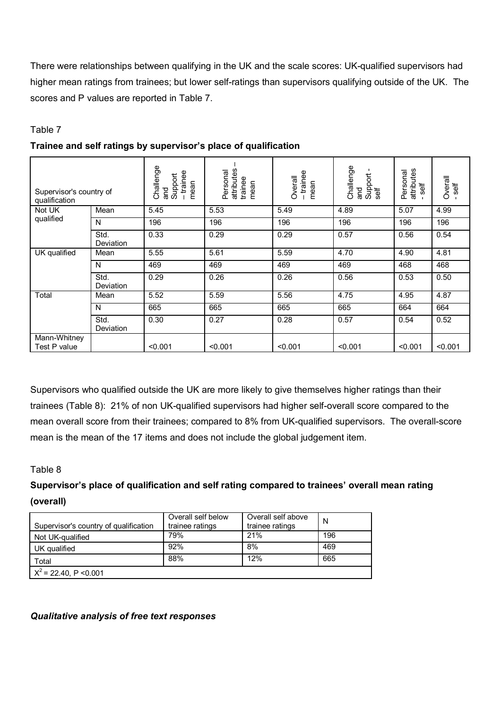There were relationships between qualifying in the UK and the scale scores: UK-qualified supervisors had higher mean ratings from trainees; but lower self-ratings than supervisors qualifying outside of the UK. The scores and P values are reported in Table 7.

### Table 7

| Supervisor's country of<br>qualification |                   | Challenge<br>-trainee<br>Support<br>mean<br>and | attributes<br>Personal<br>trainee<br>mean | - trainee<br>Overall<br>mean | Challenge<br>Support<br>self<br>and | attributes<br>Personal<br>self | Overall<br>self |
|------------------------------------------|-------------------|-------------------------------------------------|-------------------------------------------|------------------------------|-------------------------------------|--------------------------------|-----------------|
| Not UK                                   | Mean              | 5.45                                            | 5.53                                      | 5.49                         | 4.89                                | 5.07                           | 4.99            |
| qualified                                | N                 | 196                                             | 196                                       | 196                          | 196                                 | 196                            | 196             |
|                                          | Std.<br>Deviation | 0.33                                            | 0.29                                      | 0.29                         | 0.57                                | 0.56                           | 0.54            |
| UK qualified                             | Mean              | 5.55                                            | 5.61                                      | 5.59                         | 4.70                                | 4.90                           | 4.81            |
|                                          | N                 | 469                                             | 469                                       | 469                          | 469                                 | 468                            | 468             |
|                                          | Std.<br>Deviation | 0.29                                            | 0.26                                      | 0.26                         | 0.56                                | 0.53                           | 0.50            |
| Total                                    | Mean              | 5.52                                            | 5.59                                      | 5.56                         | 4.75                                | 4.95                           | 4.87            |
|                                          | N                 | 665                                             | 665                                       | 665                          | 665                                 | 664                            | 664             |
|                                          | Std.<br>Deviation | 0.30                                            | 0.27                                      | 0.28                         | 0.57                                | 0.54                           | 0.52            |
| Mann-Whitney<br>Test P value             |                   | < 0.001                                         | < 0.001                                   | < 0.001                      | < 0.001                             | < 0.001                        | < 0.001         |

### **Trainee and self ratings by supervisor's place of qualification**

Supervisors who qualified outside the UK are more likely to give themselves higher ratings than their trainees (Table 8): 21% of non UK-qualified supervisors had higher self-overall score compared to the mean overall score from their trainees; compared to 8% from UK-qualified supervisors. The overall-score mean is the mean of the 17 items and does not include the global judgement item.

### Table 8

# **Supervisor's place of qualification and self rating compared to trainees' overall mean rating (overall)**

| Supervisor's country of qualification | Overall self below<br>trainee ratings | Overall self above<br>trainee ratings | N   |
|---------------------------------------|---------------------------------------|---------------------------------------|-----|
| Not UK-qualified                      | 79%                                   | 21%                                   | 196 |
| UK qualified                          | 92%                                   | 8%                                    | 469 |
| Total                                 | 88%                                   | 12%                                   | 665 |
| $X^2$ = 22.40, P < 0.001              |                                       |                                       |     |

### *Qualitative analysis of free text responses*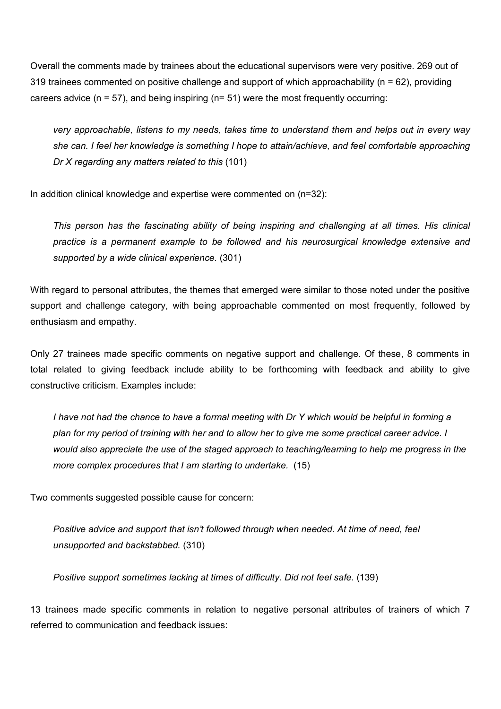Overall the comments made by trainees about the educational supervisors were very positive. 269 out of 319 trainees commented on positive challenge and support of which approachability (n = 62), providing careers advice ( $n = 57$ ), and being inspiring ( $n = 51$ ) were the most frequently occurring:

*very approachable, listens to my needs, takes time to understand them and helps out in every way she can. I feel her knowledge is something I hope to attain/achieve, and feel comfortable approaching Dr X regarding any matters related to this* (101)

In addition clinical knowledge and expertise were commented on (n=32):

*This person has the fascinating ability of being inspiring and challenging at all times. His clinical practice is a permanent example to be followed and his neurosurgical knowledge extensive and supported by a wide clinical experience.* (301)

With regard to personal attributes, the themes that emerged were similar to those noted under the positive support and challenge category, with being approachable commented on most frequently, followed by enthusiasm and empathy.

Only 27 trainees made specific comments on negative support and challenge. Of these, 8 comments in total related to giving feedback include ability to be forthcoming with feedback and ability to give constructive criticism. Examples include:

I have not had the chance to have a formal meeting with Dr Y which would be helpful in forming a plan for my period of training with her and to allow her to give me some practical career advice. I *would also appreciate the use of the staged approach to teaching/learning to help me progress in the more complex procedures that I am starting to undertake.* (15)

Two comments suggested possible cause for concern:

*Positive advice and support that isn't followed through when needed. At time of need, feel unsupported and backstabbed.* (310)

*Positive support sometimes lacking at times of difficulty. Did not feel safe.* (139)

13 trainees made specific comments in relation to negative personal attributes of trainers of which 7 referred to communication and feedback issues: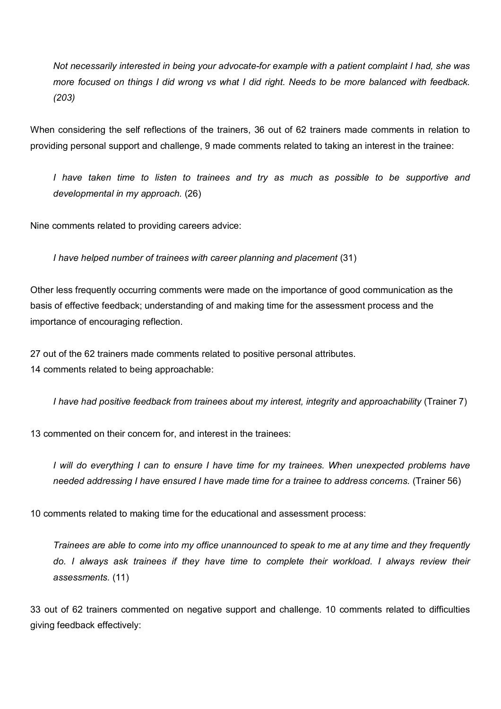*Not necessarily interested in being your advocate-for example with a patient complaint I had, she was*  more focused on things I did wrong vs what I did right. Needs to be more balanced with feedback. *(203)* 

When considering the self reflections of the trainers, 36 out of 62 trainers made comments in relation to providing personal support and challenge, 9 made comments related to taking an interest in the trainee:

*I have taken time to listen to trainees and try as much as possible to be supportive and developmental in my approach.* (26)

Nine comments related to providing careers advice:

*I have helped number of trainees with career planning and placement* (31)

Other less frequently occurring comments were made on the importance of good communication as the basis of effective feedback; understanding of and making time for the assessment process and the importance of encouraging reflection.

27 out of the 62 trainers made comments related to positive personal attributes. 14 comments related to being approachable:

*I have had positive feedback from trainees about my interest, integrity and approachability* (Trainer 7)

13 commented on their concern for, and interest in the trainees:

*I will do everything I can to ensure I have time for my trainees. When unexpected problems have needed addressing I have ensured I have made time for a trainee to address concerns.* (Trainer 56)

10 comments related to making time for the educational and assessment process:

*Trainees are able to come into my office unannounced to speak to me at any time and they frequently do. I always ask trainees if they have time to complete their workload. I always review their assessments.* (11)

33 out of 62 trainers commented on negative support and challenge. 10 comments related to difficulties giving feedback effectively: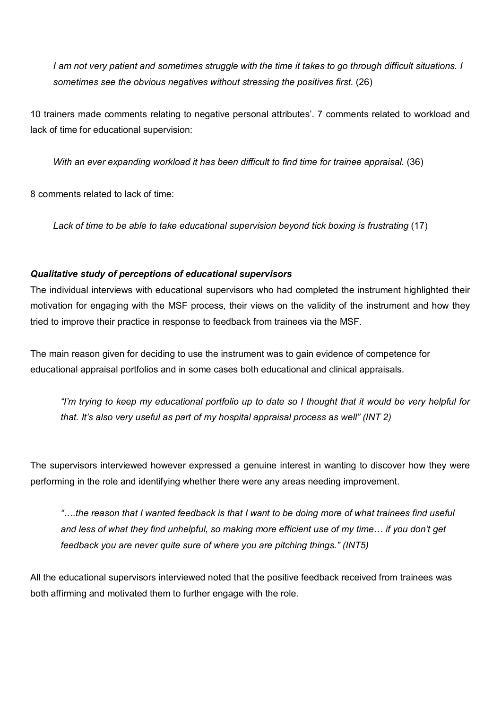*I am not very patient and sometimes struggle with the time it takes to go through difficult situations. I sometimes see the obvious negatives without stressing the positives first.* (26)

10 trainers made comments relating to negative personal attributes'. 7 comments related to workload and lack of time for educational supervision:

*With an ever expanding workload it has been difficult to find time for trainee appraisal.* (36)

8 comments related to lack of time:

*Lack of time to be able to take educational supervision beyond tick boxing is frustrating* (17)

### *Qualitative study of perceptions of educational supervisors*

The individual interviews with educational supervisors who had completed the instrument highlighted their motivation for engaging with the MSF process, their views on the validity of the instrument and how they tried to improve their practice in response to feedback from trainees via the MSF.

The main reason given for deciding to use the instrument was to gain evidence of competence for educational appraisal portfolios and in some cases both educational and clinical appraisals.

"I'm trying to keep my educational portfolio up to date so I thought that it would be very helpful for *that. It's also very useful as part of my hospital appraisal process as well" (INT 2)* 

The supervisors interviewed however expressed a genuine interest in wanting to discover how they were performing in the role and identifying whether there were any areas needing improvement.

*"….the reason that I wanted feedback is that I want to be doing more of what trainees find useful and less of what they find unhelpful, so making more efficient use of my time… if you don't get feedback you are never quite sure of where you are pitching things." (INT5)* 

All the educational supervisors interviewed noted that the positive feedback received from trainees was both affirming and motivated them to further engage with the role.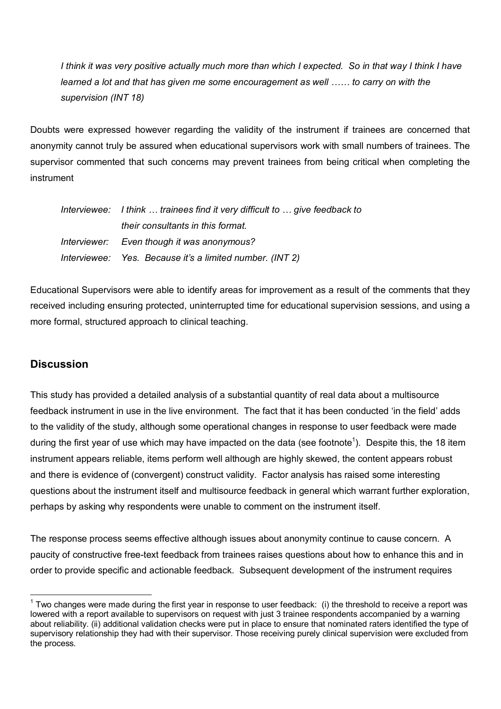*I think it was very positive actually much more than which I expected. So in that way I think I have learned a lot and that has given me some encouragement as well …… to carry on with the supervision (INT 18)* 

Doubts were expressed however regarding the validity of the instrument if trainees are concerned that anonymity cannot truly be assured when educational supervisors work with small numbers of trainees. The supervisor commented that such concerns may prevent trainees from being critical when completing the instrument

| Interviewee: I think  trainees find it very difficult to  give feedback to |
|----------------------------------------------------------------------------|
| their consultants in this format.                                          |
| Interviewer: Even though it was anonymous?                                 |
| Interviewee: Yes. Because it's a limited number. (INT 2)                   |

Educational Supervisors were able to identify areas for improvement as a result of the comments that they received including ensuring protected, uninterrupted time for educational supervision sessions, and using a more formal, structured approach to clinical teaching.

# **Discussion**

 $\overline{a}$ 

This study has provided a detailed analysis of a substantial quantity of real data about a multisource feedback instrument in use in the live environment. The fact that it has been conducted 'in the field' adds to the validity of the study, although some operational changes in response to user feedback were made during the first year of use which may have impacted on the data (see footnote<sup>1</sup>). Despite this, the 18 item instrument appears reliable, items perform well although are highly skewed, the content appears robust and there is evidence of (convergent) construct validity. Factor analysis has raised some interesting questions about the instrument itself and multisource feedback in general which warrant further exploration, perhaps by asking why respondents were unable to comment on the instrument itself.

The response process seems effective although issues about anonymity continue to cause concern. A paucity of constructive free-text feedback from trainees raises questions about how to enhance this and in order to provide specific and actionable feedback. Subsequent development of the instrument requires

 $1$  Two changes were made during the first year in response to user feedback: (i) the threshold to receive a report was lowered with a report available to supervisors on request with just 3 trainee respondents accompanied by a warning about reliability. (ii) additional validation checks were put in place to ensure that nominated raters identified the type of supervisory relationship they had with their supervisor. Those receiving purely clinical supervision were excluded from the process.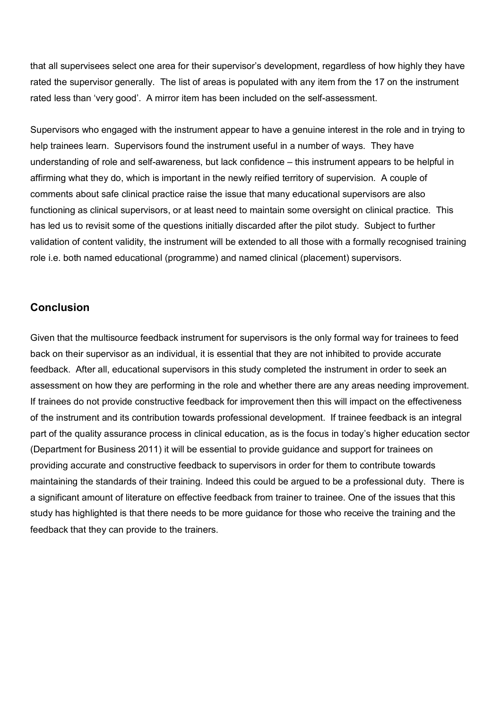that all supervisees select one area for their supervisor's development, regardless of how highly they have rated the supervisor generally. The list of areas is populated with any item from the 17 on the instrument rated less than 'very good'. A mirror item has been included on the self-assessment.

Supervisors who engaged with the instrument appear to have a genuine interest in the role and in trying to help trainees learn. Supervisors found the instrument useful in a number of ways. They have understanding of role and self-awareness, but lack confidence – this instrument appears to be helpful in affirming what they do, which is important in the newly reified territory of supervision. A couple of comments about safe clinical practice raise the issue that many educational supervisors are also functioning as clinical supervisors, or at least need to maintain some oversight on clinical practice. This has led us to revisit some of the questions initially discarded after the pilot study. Subject to further validation of content validity, the instrument will be extended to all those with a formally recognised training role i.e. both named educational (programme) and named clinical (placement) supervisors.

### **Conclusion**

Given that the multisource feedback instrument for supervisors is the only formal way for trainees to feed back on their supervisor as an individual, it is essential that they are not inhibited to provide accurate feedback. After all, educational supervisors in this study completed the instrument in order to seek an assessment on how they are performing in the role and whether there are any areas needing improvement. If trainees do not provide constructive feedback for improvement then this will impact on the effectiveness of the instrument and its contribution towards professional development. If trainee feedback is an integral part of the quality assurance process in clinical education, as is the focus in today's higher education sector (Department for Business 2011) it will be essential to provide guidance and support for trainees on providing accurate and constructive feedback to supervisors in order for them to contribute towards maintaining the standards of their training. Indeed this could be argued to be a professional duty. There is a significant amount of literature on effective feedback from trainer to trainee. One of the issues that this study has highlighted is that there needs to be more guidance for those who receive the training and the feedback that they can provide to the trainers.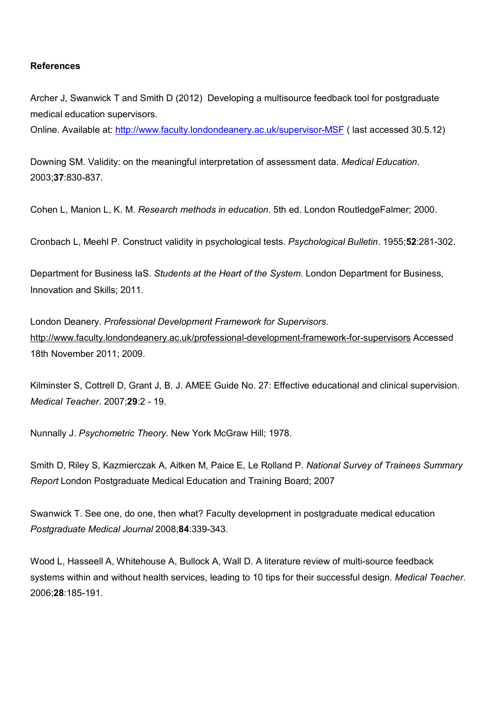#### **References**

Archer J, Swanwick T and Smith D (2012) Developing a multisource feedback tool for postgraduate medical education supervisors.

Online. Available at: <http://www.faculty.londondeanery.ac.uk/supervisor-MSF> ( last accessed 30.5.12)

Downing SM. Validity: on the meaningful interpretation of assessment data. *Medical Education*. 2003;**37**:830-837.

Cohen L, Manion L, K. M. *Research methods in education*. 5th ed. London RoutledgeFalmer; 2000.

Cronbach L, Meehl P. Construct validity in psychological tests. *Psychological Bulletin*. 1955;**52**:281-302.

Department for Business IaS. *Students at the Heart of the System*. London Department for Business, Innovation and Skills; 2011.

London Deanery. *Professional Development Framework for Supervisors*. <http://www.faculty.londondeanery.ac.uk/professional-development-framework-for-supervisors> Accessed 18th November 2011; 2009.

Kilminster S, Cottrell D, Grant J, B. J. AMEE Guide No. 27: Effective educational and clinical supervision. *Medical Teacher*. 2007;**29**:2 - 19.

Nunnally J. *Psychometric Theory*. New York McGraw Hill; 1978.

Smith D, Riley S, Kazmierczak A, Aitken M, Paice E, Le Rolland P. *National Survey of Trainees Summary Report* London Postgraduate Medical Education and Training Board; 2007

Swanwick T. See one, do one, then what? Faculty development in postgraduate medical education *Postgraduate Medical Journal* 2008;**84**:339-343.

Wood L, Hasseell A, Whitehouse A, Bullock A, Wall D. A literature review of multi-source feedback systems within and without health services, leading to 10 tips for their successful design. *Medical Teacher*. 2006;**28**:185-191.